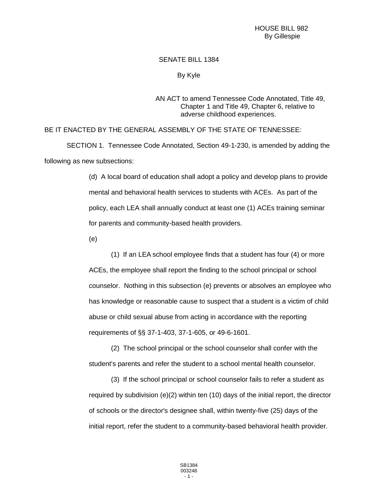## SENATE BILL 1384

## By Kyle

## AN ACT to amend Tennessee Code Annotated, Title 49, Chapter 1 and Title 49, Chapter 6, relative to adverse childhood experiences.

BE IT ENACTED BY THE GENERAL ASSEMBLY OF THE STATE OF TENNESSEE:

SECTION 1. Tennessee Code Annotated, Section 49-1-230, is amended by adding the following as new subsections:

> (d) A local board of education shall adopt a policy and develop plans to provide mental and behavioral health services to students with ACEs. As part of the policy, each LEA shall annually conduct at least one (1) ACEs training seminar for parents and community-based health providers.

(e)

(1) If an LEA school employee finds that a student has four (4) or more ACEs, the employee shall report the finding to the school principal or school counselor. Nothing in this subsection (e) prevents or absolves an employee who has knowledge or reasonable cause to suspect that a student is a victim of child abuse or child sexual abuse from acting in accordance with the reporting requirements of §§ 37-1-403, 37-1-605, or 49-6-1601.

(2) The school principal or the school counselor shall confer with the student's parents and refer the student to a school mental health counselor.

(3) If the school principal or school counselor fails to refer a student as required by subdivision (e)(2) within ten (10) days of the initial report, the director of schools or the director's designee shall, within twenty-five (25) days of the initial report, refer the student to a community-based behavioral health provider.